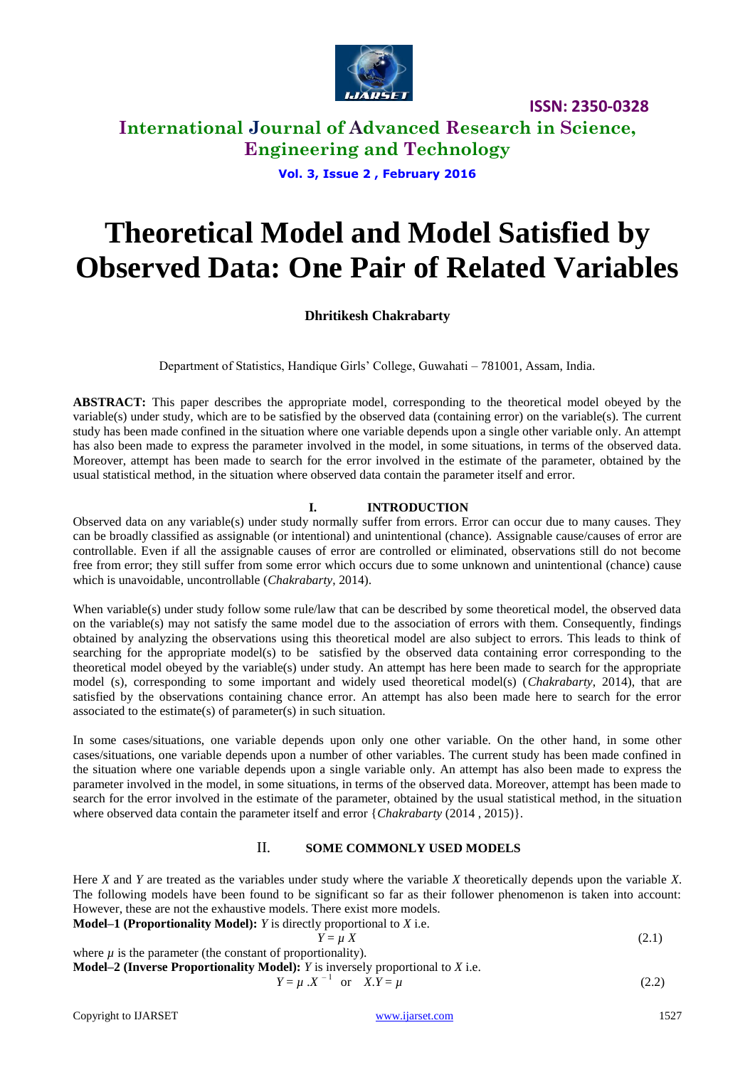

# **International Journal of Advanced Research in Science, Engineering and Technology**

**Vol. 3, Issue 2 , February 2016**

# **Theoretical Model and Model Satisfied by Observed Data: One Pair of Related Variables**

# **Dhritikesh Chakrabarty**

Department of Statistics, Handique Girls' College, Guwahati – 781001, Assam, India.

**ABSTRACT:** This paper describes the appropriate model, corresponding to the theoretical model obeyed by the variable(s) under study, which are to be satisfied by the observed data (containing error) on the variable(s). The current study has been made confined in the situation where one variable depends upon a single other variable only. An attempt has also been made to express the parameter involved in the model, in some situations, in terms of the observed data. Moreover, attempt has been made to search for the error involved in the estimate of the parameter, obtained by the usual statistical method, in the situation where observed data contain the parameter itself and error.

## **I. INTRODUCTION**

Observed data on any variable(s) under study normally suffer from errors. Error can occur due to many causes. They can be broadly classified as assignable (or intentional) and unintentional (chance). Assignable cause/causes of error are controllable. Even if all the assignable causes of error are controlled or eliminated, observations still do not become free from error; they still suffer from some error which occurs due to some unknown and unintentional (chance) cause which is unavoidable, uncontrollable (*Chakrabarty*, 2014).

When variable(s) under study follow some rule/law that can be described by some theoretical model, the observed data on the variable(s) may not satisfy the same model due to the association of errors with them. Consequently, findings obtained by analyzing the observations using this theoretical model are also subject to errors. This leads to think of searching for the appropriate model(s) to be satisfied by the observed data containing error corresponding to the theoretical model obeyed by the variable(s) under study. An attempt has here been made to search for the appropriate model (s), corresponding to some important and widely used theoretical model(s) (*Chakrabarty*, 2014), that are satisfied by the observations containing chance error. An attempt has also been made here to search for the error associated to the estimate(s) of parameter(s) in such situation.

In some cases/situations, one variable depends upon only one other variable. On the other hand, in some other cases/situations, one variable depends upon a number of other variables. The current study has been made confined in the situation where one variable depends upon a single variable only. An attempt has also been made to express the parameter involved in the model, in some situations, in terms of the observed data. Moreover, attempt has been made to search for the error involved in the estimate of the parameter, obtained by the usual statistical method, in the situation where observed data contain the parameter itself and error {*Chakrabarty* (2014 , 2015)}.

### II. **SOME COMMONLY USED MODELS**

Here *X* and *Y* are treated as the variables under study where the variable *X* theoretically depends upon the variable *X*. The following models have been found to be significant so far as their follower phenomenon is taken into account: However, these are not the exhaustive models. There exist more models.

**Model–1 (Proportionality Model):** *Y* is directly proportional to *X* i.e.

$$
Y = \mu X \tag{2.1}
$$

where  $\mu$  is the parameter (the constant of proportionality). **Model–2 (Inverse Proportionality Model):** *Y* is inversely proportional to *X* i.e.

$$
Y = \mu \cdot X^{-1} \quad \text{or} \quad X.Y = \mu \tag{2.2}
$$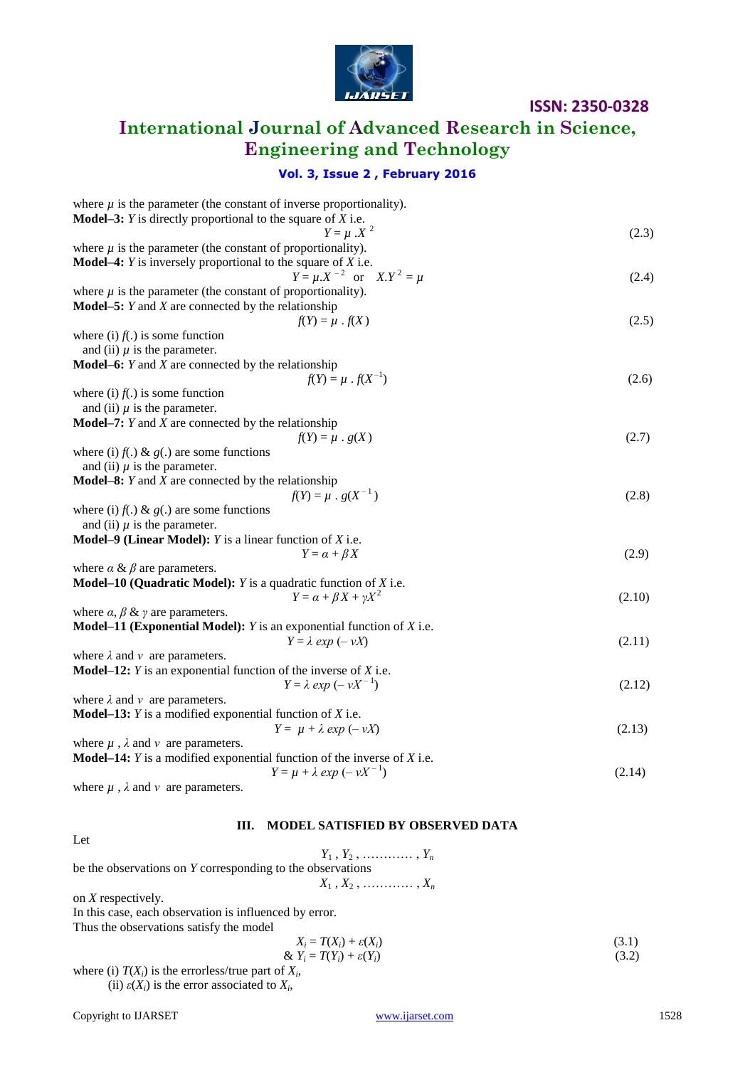

# **International Journal of Advanced Research in Science, Engineering and Technology**

# **Vol. 3, Issue 2 , February 2016**

| where $\mu$ is the parameter (the constant of inverse proportionality).            |        |
|------------------------------------------------------------------------------------|--------|
| <b>Model–3:</b> $Y$ is directly proportional to the square of $X$ i.e.             |        |
| $Y = \mu \cdot X^2$                                                                | (2.3)  |
| where $\mu$ is the parameter (the constant of proportionality).                    |        |
| <b>Model-4:</b> $Y$ is inversely proportional to the square of $X$ i.e.            |        |
| $Y = \mu.X^{-2}$ or $X.Y^{2} = \mu$                                                | (2.4)  |
| where $\mu$ is the parameter (the constant of proportionality).                    |        |
| <b>Model–5:</b> $Y$ and $X$ are connected by the relationship                      |        |
| $f(Y) = \mu \cdot f(X)$                                                            | (2.5)  |
| where (i) $f(.)$ is some function                                                  |        |
| and (ii) $\mu$ is the parameter.                                                   |        |
| <b>Model–6:</b> $Y$ and $X$ are connected by the relationship                      |        |
| $f(Y) = \mu \cdot f(X^{-1})$                                                       | (2.6)  |
| where (i) $f(.)$ is some function                                                  |        |
| and (ii) $\mu$ is the parameter.                                                   |        |
| <b>Model–7:</b> $Y$ and $X$ are connected by the relationship                      |        |
| $f(Y) = \mu \cdot g(X)$                                                            | (2.7)  |
| where (i) $f(.) \& g(.)$ are some functions                                        |        |
| and (ii) $\mu$ is the parameter.                                                   |        |
| <b>Model–8:</b> $Y$ and $X$ are connected by the relationship                      |        |
| $f(Y) = \mu \cdot g(X^{-1})$                                                       | (2.8)  |
| where (i) $f(.) \& g(.)$ are some functions                                        |        |
| and (ii) $\mu$ is the parameter.                                                   |        |
| <b>Model–9 (Linear Model):</b> $Y$ is a linear function of $X$ i.e.                |        |
| $Y = \alpha + \beta X$                                                             | (2.9)  |
| where $\alpha \& \beta$ are parameters.                                            |        |
| <b>Model–10 (Quadratic Model):</b> $Y$ is a quadratic function of $X$ i.e.         |        |
| $Y = \alpha + \beta X + \gamma X^2$                                                |        |
|                                                                                    | (2.10) |
| where $\alpha$ , $\beta$ & $\gamma$ are parameters.                                |        |
| <b>Model–11 (Exponential Model):</b> $Y$ is an exponential function of $X$ i.e.    |        |
| $Y = \lambda exp(-vX)$                                                             | (2.11) |
| where $\lambda$ and $\nu$ are parameters.                                          |        |
| <b>Model–12:</b> $Y$ is an exponential function of the inverse of $X$ i.e.         |        |
| $Y = \lambda exp(-vX^{-1})$                                                        | (2.12) |
| where $\lambda$ and $\nu$ are parameters.                                          |        |
| <b>Model–13:</b> $Y$ is a modified exponential function of $X$ i.e.                |        |
| $Y = \mu + \lambda \exp(-\nu X)$                                                   | (2.13) |
| where $\mu$ , $\lambda$ and $\nu$ are parameters.                                  |        |
| <b>Model–14:</b> $Y$ is a modified exponential function of the inverse of $X$ i.e. |        |
| $Y = \mu + \lambda exp(-vX^{-1})$                                                  | (2.14) |
| where $\mu$ , $\lambda$ and $\nu$ are parameters.                                  |        |

### Let

# **III. MODEL SATISFIED BY OBSERVED DATA**

| <b>LV</b>                                                  |       |
|------------------------------------------------------------|-------|
| $Y_1, Y_2, \ldots, \ldots, Y_n$                            |       |
| be the observations on Y corresponding to the observations |       |
| $X_1, X_2, \ldots, X_n$                                    |       |
| on $X$ respectively.                                       |       |
| In this case, each observation is influenced by error.     |       |
| Thus the observations satisfy the model                    |       |
| $X_i = T(X_i) + \varepsilon(X_i)$                          | (3.1) |
| & $Y_i = T(Y_i) + \varepsilon(Y_i)$                        | (3.2) |
|                                                            |       |

where (i)  $T(X_i)$  is the errorless/true part of  $X_i$ , (ii)  $\varepsilon(X_i)$  is the error associated to  $X_i$ ,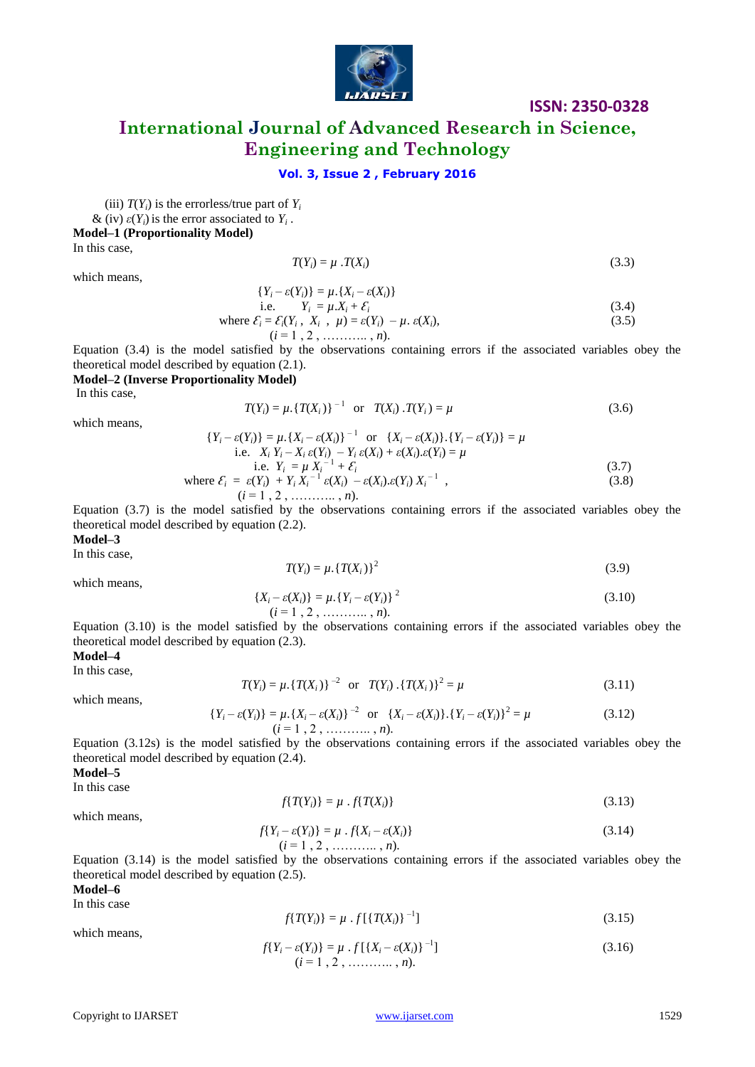

# **International Journal of Advanced Research in Science, Engineering and Technology**

### **Vol. 3, Issue 2 , February 2016**

(iii)  $T(Y_i)$  is the errorless/true part of  $Y_i$ 

 $\&$  (iv)  $\varepsilon(Y_i)$  is the error associated to  $Y_i$ .

**Model–1 (Proportionality Model)**

In this case,

$$
T(Y_i) = \mu \cdot T(X_i) \tag{3.3}
$$

which means,

$$
\{Y_i-\varepsilon(Y_i)\}=\mu.\{X_i-\varepsilon(X_i)\}
$$

i.e. 
$$
Y_i = \mu X_i + \mathcal{E}_i
$$
 (3.4)  
where  $\mathcal{E}_i = \mathcal{E}_i(Y_i, X_i, \mu) = \varepsilon(Y_i) - \mu \cdot \varepsilon(X_i)$ , (3.5)  
 $(i = 1, 2, \dots, n)$ .

Equation (3.4) is the model satisfied by the observations containing errors if the associated variables obey the theoretical model described by equation (2.1).

#### **Model–2 (Inverse Proportionality Model)**

In this case,

$$
T(Y_i) = \mu. \{ T(X_i) \}^{-1} \quad \text{or} \quad T(X_i) . T(Y_i) = \mu \tag{3.6}
$$

which means,

$$
\{Y_i - \varepsilon(Y_i)\} = \mu \cdot \{X_i - \varepsilon(X_i)\}^{-1} \quad \text{or} \quad \{X_i - \varepsilon(X_i)\} \cdot \{Y_i - \varepsilon(Y_i)\} = \mu
$$
\n
$$
\text{i.e.} \quad X_i Y_i - X_i \, \varepsilon(Y_i) - Y_i \, \varepsilon(X_i) + \varepsilon(X_i) \cdot \varepsilon(Y_i) = \mu
$$
\n
$$
\text{i.e.} \quad Y_i = \mu \, X_i^{-1} + \mathcal{E}_i
$$
\n
$$
\text{where } \mathcal{E}_i = \varepsilon(Y_i) + Y_i \, X_i^{-1} \, \varepsilon(X_i) - \varepsilon(X_i) \cdot \varepsilon(Y_i) \, X_i^{-1} \,,
$$
\n
$$
(i = 1, 2, \dots, n).
$$
\n(3.8)

Equation (3.7) is the model satisfied by the observations containing errors if the associated variables obey the theoretical model described by equation (2.2).

**Model–3**

In this case,

$$
T(Y_i) = \mu. \{T(X_i)\}^2
$$
\n(3.9)

which means,

$$
\{X_i - \varepsilon(X_i)\} = \mu. \{Y_i - \varepsilon(Y_i)\}^2
$$
\n
$$
(i = 1, 2, \dots, n).
$$
\n(3.10)

Equation (3.10) is the model satisfied by the observations containing errors if the associated variables obey the theoretical model described by equation (2.3).

#### **Model–4**

In this case,

which means,

$$
T(Y_i) = \mu \{ T(X_i) \}^{-2} \quad \text{or} \quad T(Y_i) \cdot \{ T(X_i) \}^2 = \mu \tag{3.11}
$$

 $\{Y_i - \varepsilon(Y_i)\} = \mu \cdot \{X_i - \varepsilon(X_i)\}^{-2}$  or  $\{X_i - \varepsilon(X_i)\} \cdot \{Y_i - \varepsilon(Y_i)\}^2$  $(i = 1, 2, \ldots, n).$ 

Equation (3.12s) is the model satisfied by the observations containing errors if the associated variables obey the theoretical model described by equation (2.4).

**Model–5**

In this case

$$
f\{T(Y_i)\} = \mu \cdot f\{T(X_i)\}\tag{3.13}
$$

which means,

$$
f\{Y_i - \varepsilon(Y_i)\} = \mu \cdot f\{X_i - \varepsilon(X_i)\}
$$
\n
$$
(i = 1, 2, \dots, n).
$$
\n(3.14)

Equation (3.14) is the model satisfied by the observations containing errors if the associated variables obey the theoretical model described by equation (2.5). **Model–6**

In this case

$$
f\{T(Y_i)\} = \mu \cdot f\{ \{T(X_i)\}^{-1} \} \tag{3.15}
$$

which means,

$$
f\{Y_i - \varepsilon(Y_i)\} = \mu \cdot f\{X_i - \varepsilon(X_i)\}^{-1}\}\n(i = 1, 2, \dots, n).
$$
\n(3.16)

= *µ* (3.12)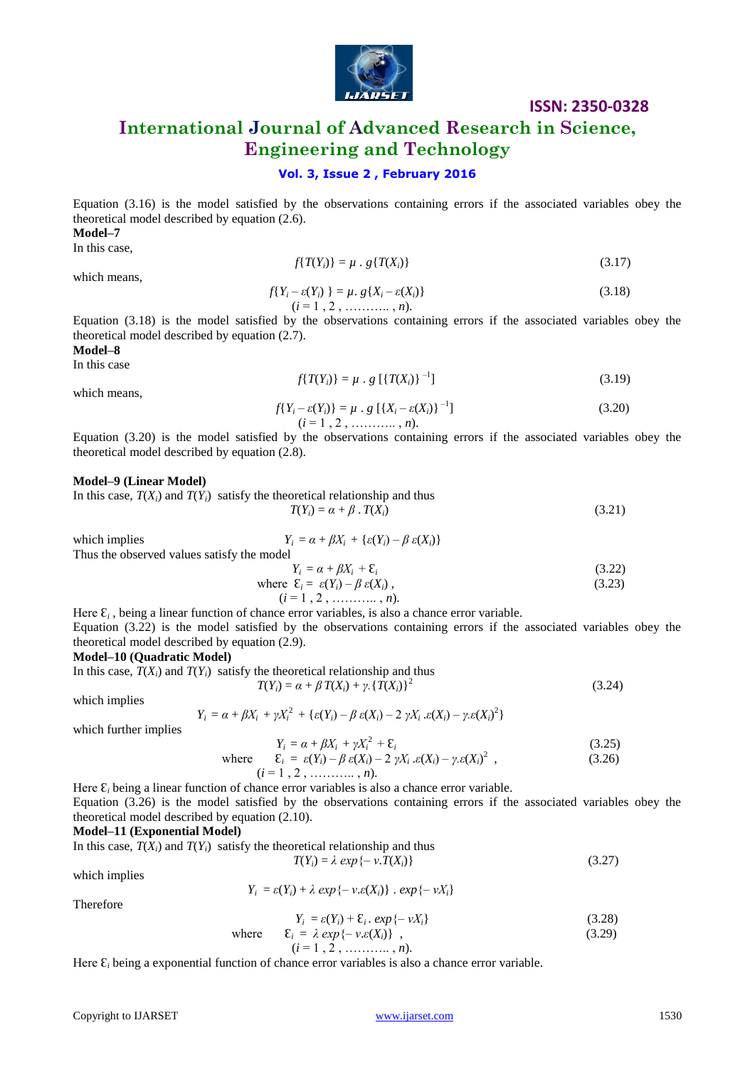

# **International Journal of Advanced Research in Science, Engineering and Technology**

### **Vol. 3, Issue 2 , February 2016**

Equation (3.16) is the model satisfied by the observations containing errors if the associated variables obey the theoretical model described by equation (2.6).

**Model–7**

In this case,

$$
f\{T(Y_i)\} = \mu \cdot g\{T(X_i)\}\tag{3.17}
$$

which means,

$$
f\{Y_i - \varepsilon(Y_i)\} = \mu. \ g\{X_i - \varepsilon(X_i)\}
$$
\n
$$
(i = 1, 2, \dots, n).
$$
\n(3.18)

Equation (3.18) is the model satisfied by the observations containing errors if the associated variables obey the theoretical model described by equation (2.7).

**Model–8**

In this case

$$
f\{T(Y_i)\} = \mu \cdot g \, [\{T(X_i)\}^{-1}] \tag{3.19}
$$

which means,

$$
f\{Y_i - \varepsilon(Y_i)\} = \mu \cdot g \left[ \{X_i - \varepsilon(X_i)\}^{-1} \right] \tag{3.20}
$$
  

$$
(i = 1, 2, \dots, n).
$$

Equation (3.20) is the model satisfied by the observations containing errors if the associated variables obey the theoretical model described by equation (2.8).

### **Model–9 (Linear Model)**

In this case,  $T(X_i)$  and  $T(Y_i)$  satisfy the theoretical relationship and thus  $T(Y_i) = \alpha + \beta \cdot T(X_i)$  (3.21)

which implies  $Y_i = \alpha + \beta X_i + {\varepsilon(Y_i) - \beta \varepsilon(X_i)}$ 

Thus the observed values satisfy the model  
\n
$$
Y_i = \alpha + \beta X_i + \varepsilon_i
$$
\n(3.22)  
\nwhere  $\varepsilon = \varepsilon(Y_i) - \beta \varepsilon(Y_i)$  (3.23)

where 
$$
\mathcal{E}_i = \varepsilon(Y_i) - \beta \varepsilon(X_i)
$$
,  
\n $(i = 1, 2, \dots, n).$  (3.23)

Here  $\mathcal{E}_i$ , being a linear function of chance error variables, is also a chance error variable. Equation (3.22) is the model satisfied by the observations containing errors if the associated variables obey the theoretical model described by equation (2.9).

### **Model–10 (Quadratic Model)**

In this case,  $T(X_i)$  and  $T(Y_i)$  satisfy the theoretical relationship and thus  $T(Y_i) = \alpha + \beta T(X_i) + \gamma \cdot \{T(X_i)\}^2$ 

which implies

$$
Y_i = \alpha + \beta X_i + \gamma X_i^2 + \{\varepsilon(Y_i) - \beta \varepsilon(X_i) - 2 \gamma X_i \cdot \varepsilon(X_i) - \gamma \cdot \varepsilon(X_i)^2\}
$$

which further implies

$$
Y_i = \alpha + \beta X_i + \gamma X_i^2 + \varepsilon_i \tag{3.25}
$$

where 
$$
\mathcal{E}_i = \varepsilon(Y_i) - \beta \varepsilon(X_i) - 2 \gamma X_i \cdot \varepsilon(X_i) - \gamma \cdot \varepsilon(X_i)^2,
$$
 (3.26)

Here  $\mathcal{E}_i$  being a linear function of chance error variables is also a chance error variable. Equation (3.26) is the model satisfied by the observations containing errors if the associated variables obey the theoretical model described by equation (2.10).

### **Model–11 (Exponential Model)**

 $Y_i$ 

In this case,  $T(X_i)$  and  $T(Y_i)$  satisfy the theoretical relationship and thus  $T(Y_i) = \lambda \exp\{-v \cdot T(X_i)\}$  (3.27)

which implies

Therefore

$$
\varepsilon = \varepsilon(Y_i) + \lambda \exp\{-\nu \varepsilon(X_i)\} \cdot \exp\{-\nu X_i\}
$$
  

$$
Y_i = \varepsilon(Y_i) + \varepsilon \cdot \exp\{-\nu X_i\}
$$
 (3.28)

$$
Y_i = \varepsilon(Y_i) + \varepsilon_i \cdot \exp\{-\nu X_i\}
$$
\nwhere

\n
$$
\varepsilon_i = \lambda \exp\{-\nu \varepsilon(X_i)\},
$$
\n(3.28)

$$
(i = 1, 2, \dots, n).
$$
\n(i = 1, 2, \dots, n).

Here  $\mathcal{E}_i$  being a exponential function of chance error variables is also a chance error variable.

(3.24)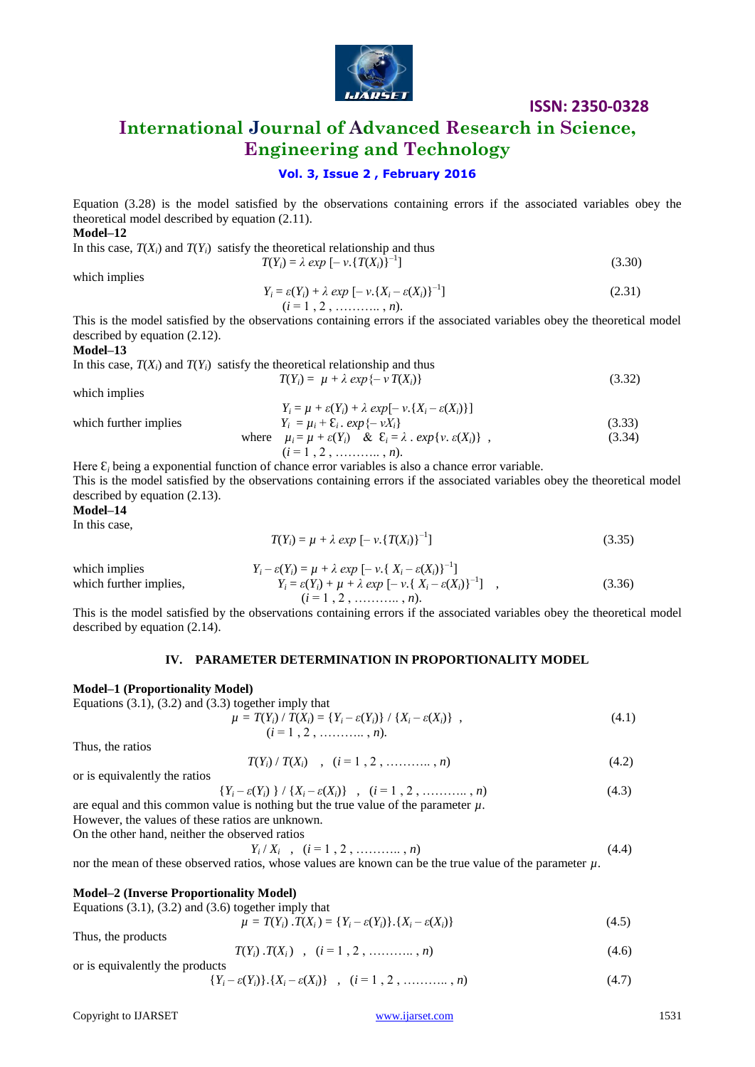

 $(3.30)$ 

# **International Journal of Advanced Research in Science, Engineering and Technology**

### **Vol. 3, Issue 2 , February 2016**

Equation (3.28) is the model satisfied by the observations containing errors if the associated variables obey the theoretical model described by equation (2.11).

**Model–12**

In this case,  $T(X_i)$  and  $T(Y_i)$  satisfy the theoretical relationship and thus  $T(Y_i) = \lambda \exp \left[ - \nu \cdot \{ T(X_i) \}^{-1} \right]$ 

which implies

$$
Y_i = \varepsilon(Y_i) + \lambda \exp[-\nu \{X_i - \varepsilon(X_i)\}^{-1}]
$$
\n(2.31)  
\n(*i* = 1, 2, ........., *n*).

This is the model satisfied by the observations containing errors if the associated variables obey the theoretical model described by equation (2.12).

### **Model–13**

In this case,  $T(X_i)$  and  $T(Y_i)$  satisfy the theoretical relationship and thus

$$
T(Y_i) = \mu + \lambda \exp\{-\nu T(X_i)\}\tag{3.32}
$$

which implies

which further implies

which further implies  
\nwhich further implies  
\n
$$
Y_i = \mu + \varepsilon(Y_i) + \lambda \exp[-\nu \cdot \{X_i - \varepsilon(X_i)\}]
$$
\n
$$
Y_i = \mu_i + \varepsilon_i \cdot \exp\{-\nu X_i\}
$$
\n
$$
\mu_i = \mu + \varepsilon(Y_i) \& \varepsilon_i = \lambda \cdot \exp\{\nu \cdot \varepsilon(X_i)\},
$$
\n(3.33)

Here Ɛ*<sup>i</sup>* being a exponential function of chance error variables is also a chance error variable. This is the model satisfied by the observations containing errors if the associated variables obey the theoretical model described by equation (2.13).

**Model–14**

In this case,

$$
T(Y_i) = \mu + \lambda \exp[-\nu. \{T(X_i)\}^{-1}]
$$
\n(3.35)

which implies  $Y_i - \varepsilon(Y_i) = \mu + \lambda \exp[-\nu \cdot \{X_i - \varepsilon(X_i)\}^{-1}]$ which further implies,  $Y_i = \varepsilon(Y_i) + \mu + \lambda \exp[-\nu \{X_i - \varepsilon(X_i)\}^{-1}]$ ,  $(3.36)$  $(i = 1, 2, \ldots, n).$ 

This is the model satisfied by the observations containing errors if the associated variables obey the theoretical model described by equation (2.14).

### **IV. PARAMETER DETERMINATION IN PROPORTIONALITY MODEL**

### **Model–1 (Proportionality Model)**

Equations  $(3.1)$ ,  $(3.2)$  and  $(3.3)$  together imply that

$$
\mu = T(Y_i) / T(X_i) = \{Y_i - \varepsilon(Y_i)\} / \{X_i - \varepsilon(X_i)\},
$$
\n(4.1)

Thus, the ratios

$$
T(Y_i) / T(X_i) \quad , \quad (i = 1, 2, \ldots, n)
$$
\n(4.2)

or is equivalently the ratios

$$
\{Y_i - \varepsilon(Y_i)\} / \{X_i - \varepsilon(X_i)\} , (i = 1, 2, \dots, n)
$$
\n(4.3)

are equal and this common value is nothing but the true value of the parameter  $\mu$ .

However, the values of these ratios are unknown.

On the other hand, neither the observed ratios  *Y<sup>i</sup>*

$$
Y_i/X_i , (i = 1, 2, \dots, n)
$$
 (4.4)

nor the mean of these observed ratios, whose values are known can be the true value of the parameter  $\mu$ .

### **Model–2 (Inverse Proportionality Model)**

Equations (3.1), (3.2) and (3.6) together imply that

|                    | $\mu = T(Y_i) \cdot T(X_i) = \{Y_i - \varepsilon(Y_i)\}\cdot \{X_i - \varepsilon(X_i)\}\$ | (4.5) |
|--------------------|-------------------------------------------------------------------------------------------|-------|
| Thus, the products |                                                                                           |       |

 $T(Y_i) \cdot T(X_i)$ ,  $(i = 1, 2, \ldots, n)$  (4.6)

or is equivalently the products 
$$
\{Y_i - \varepsilon(Y_i)\}\cdot\{X_i - \varepsilon(X_i)\} , (i = 1, 2, \dots, n)
$$
 (4.7)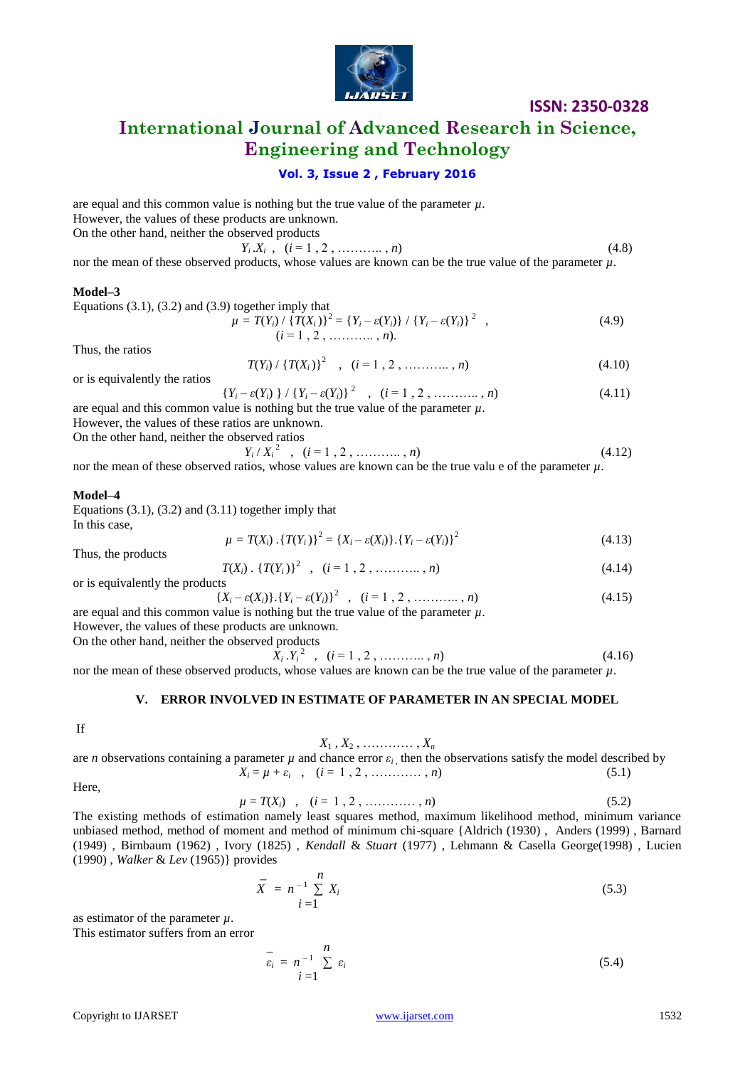

# **International Journal of Advanced Research in Science, Engineering and Technology**

### **Vol. 3, Issue 2 , February 2016**

are equal and this common value is nothing but the true value of the parameter  $\mu$ . However, the values of these products are unknown. On the other hand, neither the observed products  $Y_i . X_i, \quad (i = 1, 2, \ldots, n)$  (4.8)

nor the mean of these observed products, whose values are known can be the true value of the parameter  $\mu$ .

### **Model–3**

Equations (3.1), (3.2) and (3.9) together imply that

$$
\mu = T(Y_i) / \{T(X_i)\}^2 = \{Y_i - \varepsilon(Y_i)\} / \{Y_i - \varepsilon(Y_i)\}^2 ,
$$
\n(4.9)\n  
\n
$$
(i = 1, 2, \ldots, n).
$$

Thus, the ratios

$$
T(Y_i) / \{T(X_i)\}^2 , (i = 1, 2, \dots, n)
$$
 (4.10)

or is equivalently the ratios

$$
\{Y_i - \varepsilon(Y_i)\} / \{Y_i - \varepsilon(Y_i)\}^2 \quad , \quad (i = 1, 2, \dots, n) \tag{4.11}
$$

are equal and this common value is nothing but the true value of the parameter  $\mu$ .

However, the values of these ratios are unknown. On the other hand, neither the obs

observed ratios  
\n
$$
Y_i/X_i^2
$$
,  $(i = 1, 2, \dots, n)$  (4.12)

 $Y_i$ nor the mean of these observed ratios, whose values are known can be the true valu e of the parameter *µ*.

### **Model–4**

Equations  $(3.1)$ ,  $(3.2)$  and  $(3.11)$  together imply that In this case,

$$
\mu = T(X_i) \cdot \{T(Y_i)\}^2 = \{X_i - \varepsilon(X_i)\} \cdot \{Y_i - \varepsilon(Y_i)\}^2 \tag{4.13}
$$

Thus, the products

$$
T(X_i) \cdot \{T(Y_i)\}^2 \quad , \quad (i = 1, 2, \dots, n)
$$
\n(4.14)

or is equivalently the products

$$
\{X_i - \varepsilon(X_i)\} \cdot \{Y_i - \varepsilon(Y_i)\}^2, \quad (i = 1, 2, \dots, n)
$$
\nare equal and this common value is nothing but the true value of the parameter  $\mu$ .  
\nHowever, the values of these product are unknown.

However, the values of these products are unknown.

On the other hand, neither the observed products  $X_i$ 

 ${Y_i}^2$ ,  $(i = 1, 2, \ldots, n)$  (4.16)

nor the mean of these observed products, whose values are known can be the true value of the parameter  $\mu$ .

### **V. ERROR INVOLVED IN ESTIMATE OF PARAMETER IN AN SPECIAL MODEL**

If

### $X_1, X_2, \ldots, X_n$

## are *n* observations containing a parameter  $\mu$  and chance error  $\varepsilon_i$ , then the observations satisfy the model described by  $X_i = \mu + \varepsilon_i$ ,  $(i = 1, 2, \ldots, n)$  (5.1)

Here,

$$
\mu = T(X_i) \quad , \quad (i = 1, 2, \dots, n) \tag{5.2}
$$

The existing methods of estimation namely least squares method, maximum likelihood method, minimum variance unbiased method, method of moment and method of minimum chi-square {Aldrich (1930) , Anders (1999) , Barnard (1949) , Birnbaum (1962) , Ivory (1825) , *Kendall* & *Stuart* (1977) , Lehmann & Casella George(1998) , Lucien (1990) , *Walker* & *Lev* (1965)} provides

$$
\overline{X} = n^{-1} \sum_{i=1}^{n} X_i
$$
\n(5.3)

as estimator of the parameter *µ*. This estimator suffers from an error

$$
\overline{\varepsilon}_i = n^{-1} \sum_{i=1}^n \varepsilon_i \tag{5.4}
$$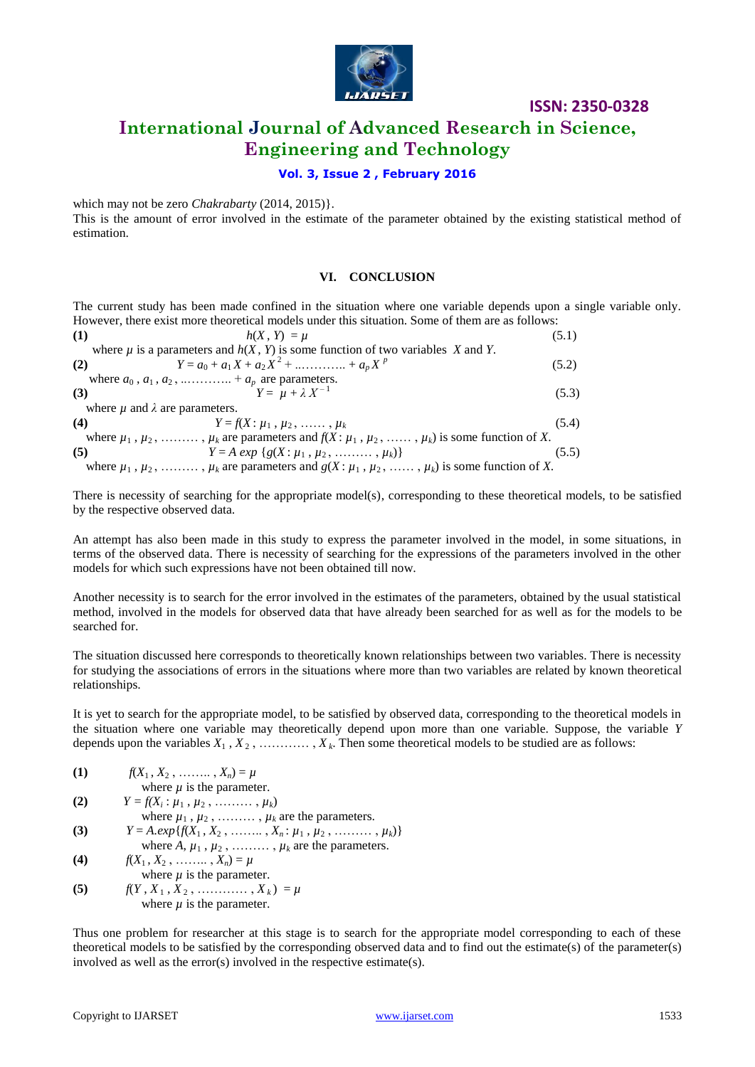

# **International Journal of Advanced Research in Science, Engineering and Technology**

### **Vol. 3, Issue 2 , February 2016**

which may not be zero *Chakrabarty* (2014, 2015)}.

This is the amount of error involved in the estimate of the parameter obtained by the existing statistical method of estimation.

### **VI. CONCLUSION**

The current study has been made confined in the situation where one variable depends upon a single variable only. However, there exist more theoretical models under this situation. Some of them are as follows:

| (1) | $h(X, Y) = \mu$                                                                                                   | (5.1) |
|-----|-------------------------------------------------------------------------------------------------------------------|-------|
|     | where $\mu$ is a parameters and $h(X, Y)$ is some function of two variables X and Y.                              |       |
| (2) | $Y = a_0 + a_1 X + a_2 X^2 + \dots + a_p X^p$                                                                     | (5.2) |
|     | where $a_0$ , $a_1$ , $a_2$ ,  + $a_p$ are parameters.                                                            |       |
| (3) | $Y = \mu + \lambda X^{-1}$                                                                                        | (5.3) |
|     | where $\mu$ and $\lambda$ are parameters.                                                                         |       |
| (4) | $Y = f(X : \mu_1, \mu_2, \ldots, \mu_k)$                                                                          | (5.4) |
|     | where $\mu_1, \mu_2, \ldots, \mu_k$ are parameters and $f(X; \mu_1, \mu_2, \ldots, \mu_k)$ is some function of X. |       |
| (5) | $Y = A exp {g(X: \mu_1, \mu_2, \ldots, \mu_k)}$                                                                   | (5.5) |
|     | where $\mu_1$ , $\mu_2$ , , $\mu_k$ are parameters and $g(X; \mu_1, \mu_2, \ldots, \mu_k)$ is some function of X. |       |

There is necessity of searching for the appropriate model(s), corresponding to these theoretical models, to be satisfied by the respective observed data.

An attempt has also been made in this study to express the parameter involved in the model, in some situations, in terms of the observed data. There is necessity of searching for the expressions of the parameters involved in the other models for which such expressions have not been obtained till now.

Another necessity is to search for the error involved in the estimates of the parameters, obtained by the usual statistical method, involved in the models for observed data that have already been searched for as well as for the models to be searched for.

The situation discussed here corresponds to theoretically known relationships between two variables. There is necessity for studying the associations of errors in the situations where more than two variables are related by known theoretical relationships.

It is yet to search for the appropriate model, to be satisfied by observed data, corresponding to the theoretical models in the situation where one variable may theoretically depend upon more than one variable. Suppose, the variable *Y* depends upon the variables  $X_1, X_2, \ldots, X_k$ . Then some theoretical models to be studied are as follows:

(1) 
$$
f(X_1, X_2, \dots, X_n) = \mu
$$
  
where  $\mu$  is the parameter.  
(2)  $Y = f(X_i : \mu_1, \mu_2, \dots, \mu_k)$ 

where  $\mu_1$ ,  $\mu_2$ , ........,  $\mu_k$  are the parameters.

- (3)  $Y = A \cdot exp\{f(X_1, X_2, \ldots, X_n; \mu_1, \mu_2, \ldots, \mu_k)\}\$
- where  $A$ ,  $\mu_1$ ,  $\mu_2$ , ........,  $\mu_k$  are the parameters.
- **(4)**  $f(X_1, X_2, \ldots, X_n) = \mu$ where  $\mu$  is the parameter.
- **(5)**  $f(Y, X_1, X_2, \ldots, X_k) = \mu$ where  $\mu$  is the parameter.

Thus one problem for researcher at this stage is to search for the appropriate model corresponding to each of these theoretical models to be satisfied by the corresponding observed data and to find out the estimate(s) of the parameter(s) involved as well as the error(s) involved in the respective estimate(s).